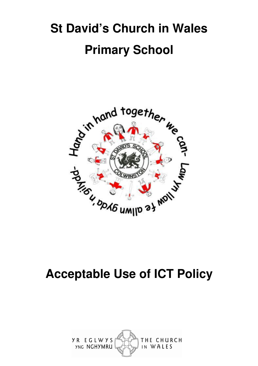# **St David's Church in Wales Primary School**



## **Acceptable Use of ICT Policy**

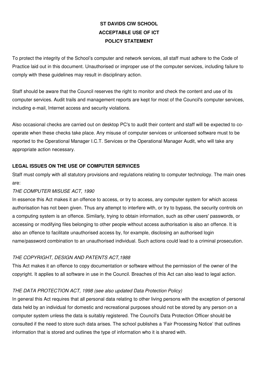## **ST DAVIDS CIW SCHOOL ACCEPTABLE USE OF ICT POLICY STATEMENT**

To protect the integrity of the School's computer and network services, all staff must adhere to the Code of Practice laid out in this document. Unauthorised or improper use of the computer services, including failure to comply with these guidelines may result in disciplinary action.

Staff should be aware that the Council reserves the right to monitor and check the content and use of its computer services. Audit trails and management reports are kept for most of the Council's computer services, including e-mail, Internet access and security violations.

Also occasional checks are carried out on desktop PC's to audit their content and staff will be expected to cooperate when these checks take place. Any misuse of computer services or unlicensed software must to be reported to the Operational Manager I.C.T. Services or the Operational Manager Audit, who will take any appropriate action necessary.

#### **LEGAL ISSUES ON THE USE OF COMPUTER SERVICES**

Staff must comply with all statutory provisions and regulations relating to computer technology. The main ones are:

#### THE COMPUTER MISUSE ACT, 1990

In essence this Act makes it an offence to access, or try to access, any computer system for which access authorisation has not been given. Thus any attempt to interfere with, or try to bypass, the security controls on a computing system is an offence. Similarly, trying to obtain information, such as other users' passwords, or accessing or modifying files belonging to other people without access authorisation is also an offence. It is also an offence to facilitate unauthorised access by, for example, disclosing an authorised login name/password combination to an unauthorised individual. Such actions could lead to a criminal prosecution.

#### THE COPYRIGHT, DESIGN AND PATENTS ACT,1988

This Act makes it an offence to copy documentation or software without the permission of the owner of the copyright. It applies to all software in use in the Council. Breaches of this Act can also lead to legal action.

#### THE DATA PROTECTION ACT, 1998 (see also updated Data Protection Policy)

In general this Act requires that all personal data relating to other living persons with the exception of personal data held by an individual for domestic and recreational purposes should not be stored by any person on a computer system unless the data is suitably registered. The Council's Data Protection Officer should be consulted if the need to store such data arises. The school publishes a 'Fair Processing Notice' that outlines information that is stored and outlines the type of information who it is shared with.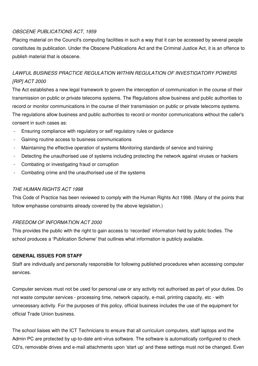### OBSCENE PUBLICATIONS ACT, 1959

Placing material on the Council's computing facilities in such a way that it can be accessed by several people constitutes its publication. Under the Obscene Publications Act and the Criminal Justice Act, it is an offence to publish material that is obscene.

## LAWFUL BUSINESS PRACTICE REGULATION WITHIN REGULATION OF INVESTIGATORY POWERS [RIP] ACT 2000

The Act establishes a new legal framework to govern the interception of communication in the course of their transmission on public or private telecoms systems. The Regulations allow business and public authorities to record or monitor communications in the course of their transmission on public or private telecoms systems. The regulations allow business and public authorities to record or monitor communications without the caller's consent in such cases as:

- Ensuring compliance with regulatory or self regulatory rules or guidance
- Gaining routine access to business communications
- Maintaining the effective operation of systems Monitoring standards of service and training
- Detecting the unauthorised use of systems including protecting the network against viruses or hackers
- Combating or investigating fraud or corruption
- Combating crime and the unauthorised use of the systems

#### THE HUMAN RIGHTS ACT 1998

This Code of Practice has been reviewed to comply with the Human Rights Act 1998. (Many of the points that follow emphasise constraints already covered by the above legislation.)

#### FREEDOM OF INFORMATION ACT 2000

This provides the public with the right to gain access to 'recorded' information held by public bodies. The school produces a 'Publication Scheme' that outlines what information is publicly available.

#### **GENERAL ISSUES FOR STAFF**

Staff are individually and personally responsible for following published procedures when accessing computer services.

Computer services must not be used for personal use or any activity not authorised as part of your duties. Do not waste computer services - processing time, network capacity, e-mail, printing capacity, etc - with unnecessary activity. For the purposes of this policy, official business includes the use of the equipment for official Trade Union business.

The school liaises with the ICT Technicians to ensure that all curriculum computers, staff laptops and the Admin PC are protected by up-to-date anti-virus software. The software is automatically configured to check CD's, removable drives and e-mail attachments upon 'start up' and these settings must not be changed. Even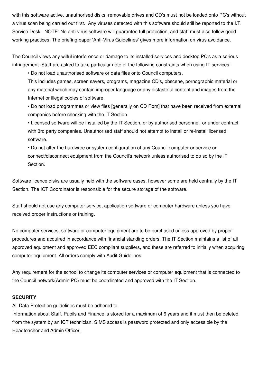with this software active, unauthorised disks, removable drives and CD's must not be loaded onto PC's without a virus scan being carried out first. Any viruses detected with this software should still be reported to the I.T. Service Desk. NOTE: No anti-virus software will guarantee full protection, and staff must also follow good working practices. The briefing paper 'Anti-Virus Guidelines' gives more information on virus avoidance.

The Council views any wilful interference or damage to its installed services and desktop PC's as a serious infringement. Staff are asked to take particular note of the following constraints when using IT services:

• Do not load unauthorised software or data files onto Council computers.

This includes games, screen savers, programs, magazine CD's, obscene, pornographic material or any material which may contain improper language or any distasteful content and images from the Internet or illegal copies of software.

• Do not load programmes or view files [generally on CD Rom] that have been received from external companies before checking with the IT Section.

• Licensed software will be installed by the IT Section, or by authorised personnel, or under contract with 3rd party companies. Unauthorised staff should not attempt to install or re-install licensed software.

• Do not alter the hardware or system configuration of any Council computer or service or connect/disconnect equipment from the Council's network unless authorised to do so by the IT Section.

Software licence disks are usually held with the software cases, however some are held centrally by the IT Section. The ICT Coordinator is responsible for the secure storage of the software.

Staff should not use any computer service, application software or computer hardware unless you have received proper instructions or training.

No computer services, software or computer equipment are to be purchased unless approved by proper procedures and acquired in accordance with financial standing orders. The IT Section maintains a list of all approved equipment and approved EEC compliant suppliers, and these are referred to initially when acquiring computer equipment. All orders comply with Audit Guidelines.

Any requirement for the school to change its computer services or computer equipment that is connected to the Council network(Admin PC) must be coordinated and approved with the IT Section.

#### **SECURITY**

All Data Protection guidelines must be adhered to.

Information about Staff, Pupils and Finance is stored for a maximum of 6 years and it must then be deleted from the system by an ICT technician. SIMS access is password protected and only accessible by the Headteacher and Admin Officer.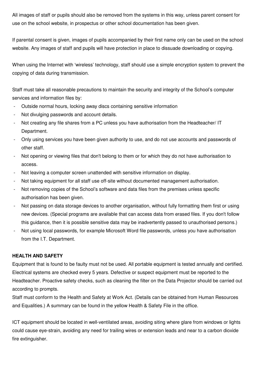All images of staff or pupils should also be removed from the systems in this way, unless parent consent for use on the school website, in prospectus or other school documentation has been given.

If parental consent is given, images of pupils accompanied by their first name only can be used on the school website. Any images of staff and pupils will have protection in place to dissuade downloading or copying.

When using the Internet with 'wireless' technology, staff should use a simple encryption system to prevent the copying of data during transmission.

Staff must take all reasonable precautions to maintain the security and integrity of the School's computer services and information files by:

- Outside normal hours, locking away discs containing sensitive information
- Not divulging passwords and account details.
- Not creating any file shares from a PC unless you have authorisation from the Headteacher/ IT Department.
- Only using services you have been given authority to use, and do not use accounts and passwords of other staff.
- Not opening or viewing files that don't belong to them or for which they do not have authorisation to access.
- Not leaving a computer screen unattended with sensitive information on display.
- Not taking equipment for all staff use off-site without documented management authorisation.
- Not removing copies of the School's software and data files from the premises unless specific authorisation has been given.
- Not passing on data storage devices to another organisation, without fully formatting them first or using new devices. (Special programs are available that can access data from erased files. If you don't follow this guidance, then it is possible sensitive data may be inadvertently passed to unauthorised persons.)
- Not using local passwords, for example Microsoft Word file passwords, unless you have authorisation from the I.T. Department.

#### **HEALTH AND SAFETY**

Equipment that is found to be faulty must not be used. All portable equipment is tested annually and certified. Electrical systems are checked every 5 years. Defective or suspect equipment must be reported to the Headteacher. Proactive safety checks, such as cleaning the filter on the Data Projector should be carried out according to prompts.

Staff must conform to the Health and Safety at Work Act. (Details can be obtained from Human Resources and Equalities.) A summary can be found in the yellow Health & Safety File in the office.

ICT equipment should be located in well-ventilated areas, avoiding siting where glare from windows or lights could cause eye-strain, avoiding any need for trailing wires or extension leads and near to a carbon dioxide fire extinguisher.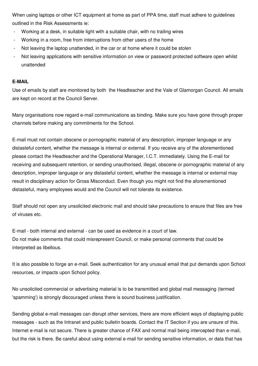When using laptops or other ICT equipment at home as part of PPA time, staff must adhere to guidelines outlined in the Risk Assessments ie:

- Working at a desk, in suitable light with a suitable chair, with no trailing wires
- Working in a room, free from interruptions from other users of the home
- Not leaving the laptop unattended, in the car or at home where it could be stolen
- Not leaving applications with sensitive information on view or password protected software open whilst unattended

#### **E-MAIL**

Use of emails by staff are monitored by both the Headteacher and the Vale of Glamorgan Council. All emails are kept on record at the Council Server.

Many organisations now regard e-mail communications as binding. Make sure you have gone through proper channels before making any commitments for the School.

E-mail must not contain obscene or pornographic material of any description, improper language or any distasteful content, whether the message is internal or external. If you receive any of the aforementioned please contact the Headteacher and the Operational Manager, I.C.T. immediately. Using the E-mail for receiving and subsequent retention, or sending unauthorised, illegal, obscene or pornographic material of any description, improper language or any distasteful content, whether the message is internal or external may result in disciplinary action for Gross Misconduct. Even though you might not find the aforementioned distasteful, many employees would and the Council will not tolerate its existence.

Staff should not open any unsolicited electronic mail and should take precautions to ensure that files are free of viruses etc.

E-mail - both internal and external - can be used as evidence in a court of law. Do not make comments that could misrepresent Council, or make personal comments that could be interpreted as libellous.

It is also possible to forge an e-mail. Seek authentication for any unusual email that put demands upon School resources, or impacts upon School policy.

No unsolicited commercial or advertising material is to be transmitted and global mail messaging (termed 'spamming') is strongly discouraged unless there is sound business justification.

Sending global e-mail messages can disrupt other services, there are more efficient ways of displaying public messages - such as the Intranet and public bulletin boards. Contact the IT Section if you are unsure of this. Internet e-mail is not secure. There is greater chance of FAX and normal mail being intercepted than e-mail, but the risk is there. Be careful about using external e-mail for sending sensitive information, or data that has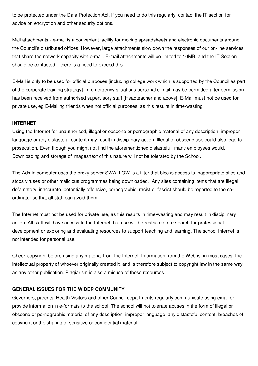to be protected under the Data Protection Act. If you need to do this regularly, contact the IT section for advice on encryption and other security options.

Mail attachments - e-mail is a convenient facility for moving spreadsheets and electronic documents around the Council's distributed offices. However, large attachments slow down the responses of our on-line services that share the network capacity with e-mail. E-mail attachments will be limited to 10MB, and the IT Section should be contacted if there is a need to exceed this.

E-Mail is only to be used for official purposes [including college work which is supported by the Council as part of the corporate training strategy]. In emergency situations personal e-mail may be permitted after permission has been received from authorised supervisory staff [Headteacher and above]. E-Mail must not be used for private use, eg E-Mailing friends when not official purposes, as this results in time-wasting.

#### **INTERNET**

Using the Internet for unauthorised, illegal or obscene or pornographic material of any description, improper language or any distasteful content may result in disciplinary action. Illegal or obscene use could also lead to prosecution. Even though you might not find the aforementioned distasteful, many employees would. Downloading and storage of images/text of this nature will not be tolerated by the School.

The Admin computer uses the proxy server SWALLOW is a filter that blocks access to inappropriate sites and stops viruses or other malicious programmes being downloaded. Any sites containing items that are illegal, defamatory, inaccurate, potentially offensive, pornographic, racist or fascist should be reported to the coordinator so that all staff can avoid them.

The Internet must not be used for private use, as this results in time-wasting and may result in disciplinary action. All staff will have access to the Internet, but use will be restricted to research for professional development or exploring and evaluating resources to support teaching and learning. The school Internet is not intended for personal use.

Check copyright before using any material from the Internet. Information from the Web is, in most cases, the intellectual property of whoever originally created it, and is therefore subject to copyright law in the same way as any other publication. Plagiarism is also a misuse of these resources.

#### **GENERAL ISSUES FOR THE WIDER COMMUNITY**

Governors, parents, Health Visitors and other Council departments regularly communicate using email or provide information in e-formats to the school. The school will not tolerate abuses in the form of illegal or obscene or pornographic material of any description, improper language, any distasteful content, breaches of copyright or the sharing of sensitive or confidential material.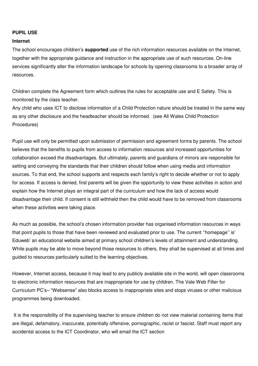#### **PUPIL USE**

#### **Internet**

The school encourages children's **supported** use of the rich information resources available on the Internet, together with the appropriate guidance and instruction in the appropriate use of such resources. On-line services significantly alter the information landscape for schools by opening classrooms to a broader array of resources.

Children complete the Agreement form which outlines the rules for acceptable use and E Safety. This is monitored by the class teacher.

Any child who uses ICT to disclose information of a Child Protection nature should be treated in the same way as any other disclosure and the headteacher should be informed. (see All Wales Child Protection Procedures)

Pupil use will only be permitted upon submission of permission and agreement forms by parents. The school believes that the benefits to pupils from access to information resources and increased opportunities for collaboration exceed the disadvantages. But ultimately, parents and guardians of minors are responsible for setting and conveying the standards that their children should follow when using media and information sources. To that end, the school supports and respects each family's right to decide whether or not to apply for access. If access is denied, first parents will be given the opportunity to view these activities in action and explain how the Internet plays an integral part of the curriculum and how the lack of access would disadvantage their child. If consent is still withheld then the child would have to be removed from classrooms when these activities were taking place.

As much as possible, the school's chosen information provider has organised information resources in ways that point pupils to those that have been reviewed and evaluated prior to use. The current ''homepage'' is' Eduweb' an educational website aimed at primary school children's levels of attainment and understanding. While pupils may be able to move beyond those resources to others, they shall be supervised at all times and guided to resources particularly suited to the learning objectives.

However, Internet access, because it may lead to any publicly available site in the world, will open classrooms to electronic information resources that are inappropriate for use by children. The Vale Web Filter for Curriculum PC's– "Websense" also blocks access to inappropriate sites and stops viruses or other malicious programmes being downloaded.

 It is the responsibility of the supervising teacher to ensure children do not view material containing items that are illegal, defamatory, inaccurate, potentially offensive, pornographic, racist or fascist. Staff must report any accidental access to the ICT Coordinator, who will email the ICT section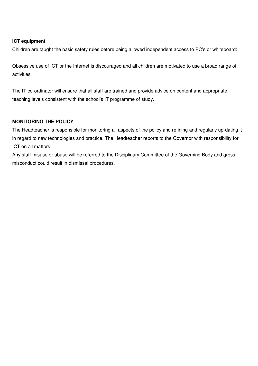#### **ICT equipment**

Children are taught the basic safety rules before being allowed independent access to PC's or whiteboard:

Obsessive use of ICT or the Internet is discouraged and all children are motivated to use a broad range of activities.

The IT co-ordinator will ensure that all staff are trained and provide advice on content and appropriate teaching levels consistent with the school's IT programme of study.

#### **MONITORING THE POLICY**

The Headteacher is responsible for monitoring all aspects of the policy and refining and regularly up-dating it in regard to new technologies and practice. The Headteacher reports to the Governor with responsibility for ICT on all matters.

Any staff misuse or abuse will be referred to the Disciplinary Committee of the Governing Body and gross misconduct could result in dismissal procedures.